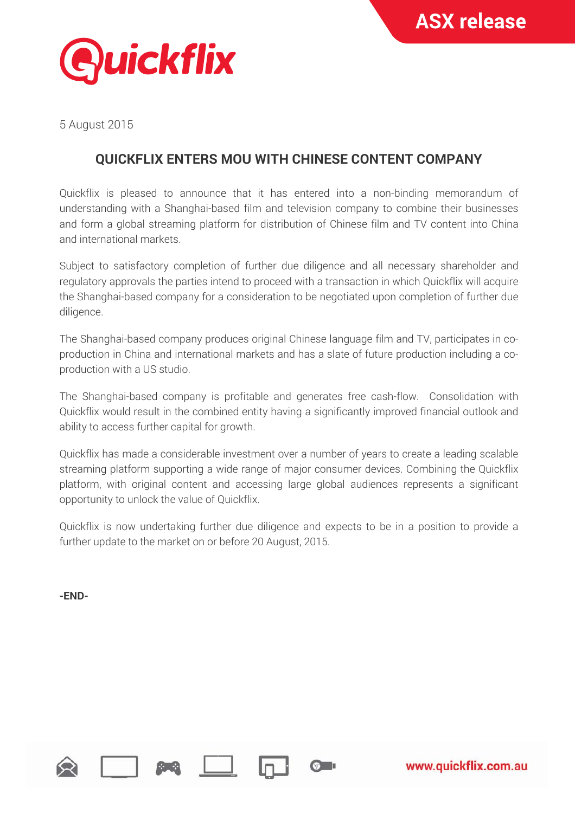

5 August 2015

## **QUICKFLIX ENTERS MOU WITH CHINESE CONTENT COMPANY**

Quickflix is pleased to announce that it has entered into a non-binding memorandum of understanding with a Shanghai-based film and television company to combine their businesses and form a global streaming platform for distribution of Chinese film and TV content into China and international markets.

Subject to satisfactory completion of further due diligence and all necessary shareholder and regulatory approvals the parties intend to proceed with a transaction in which Quickflix will acquire the Shanghai-based company for a consideration to be negotiated upon completion of further due diligence.

The Shanghai-based company produces original Chinese language film and TV, participates in coproduction in China and international markets and has a slate of future production including a coproduction with a US studio.

The Shanghai-based company is profitable and generates free cash-flow. Consolidation with Quickflix would result in the combined entity having a significantly improved financial outlook and ability to access further capital for growth.

Quickflix has made a considerable investment over a number of years to create a leading scalable streaming platform supporting a wide range of major consumer devices. Combining the Quickflix platform, with original content and accessing large global audiences represents a significant opportunity to unlock the value of Quickflix.

Quickflix is now undertaking further due diligence and expects to be in a position to provide a further update to the market on or before 20 August, 2015.

 $\sigma$   $\blacksquare$ 

**-END-** 

www.quickflix.com.au